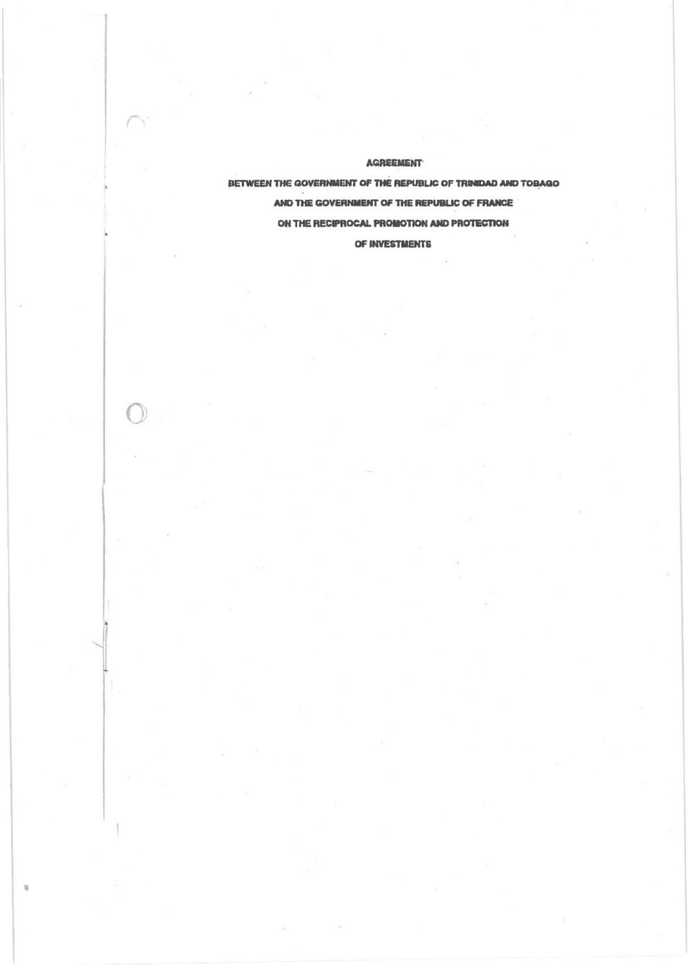**AGREEMENT** 

BETWEEN THE GOVERNMENT OF THE REPUBLIC OF TRINIDAD AND TOBAGO AND THE GOVERNMENT OF THE REPUBLIC OF FRANCE ON THE RECIPROCAL PROMOTION AND PROTECTION OF INVESTMENTS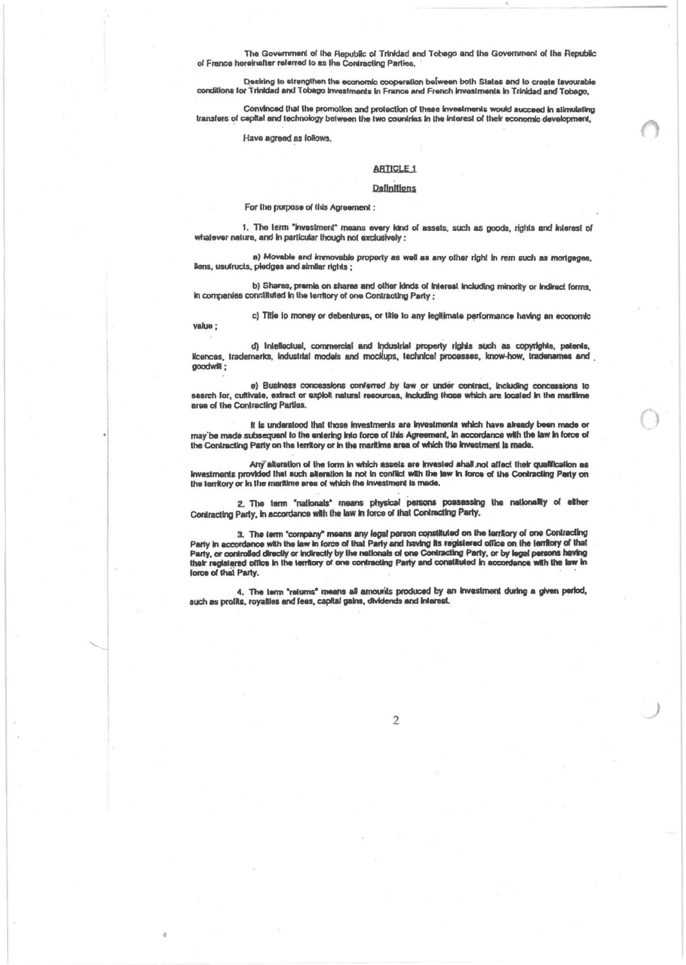The Government of the Republic of Trinidad and Tobago and the Government of the Republic of France hereinafter referred to as the Contracting Parties,

Desking to strengthen the economic cooperation between both States and to create favourable<br>conditions for Trinidad and Tobago investments in France and French investments in Trinidad and Tobago,

Convinced that the promotion and protection of these investments would succeed in stimulating transfers of capital and technology between the two countries in the interest of their economic development,

Have agreed as follows.

value ;

# **ARTICLE 1**

### **Definitions**

For the purpose of this Agreement :

1. The term "investment" means every kind of assets, such as goods, rights and interest of whatever nature, and in particular though not exclusively :

a) Movable and immovable property as well as any other right in rem such as mortgages, llens, usufructs, piedges and similar rights;

b) Shares, premie on shares and other kinds of interest including minority or indirect forms. In companies constituted in the territory of one Contracting Party ;

c) Title to money or debantures, or title to any legitimate performance having an economic

d) intellectual, commercial and industrial property rights such as copyrights, patents, Icences, trademarks, industrial models and mockups, technical processes, know-how, tradenames and goodwill:

e) Business concessions conferred by law or under contract, including concessions to search for, cultivate, extract or exploit natural recources, including those which are located in the maritime area of the Contracting Parties.

it is understood that those investments are investments which have already been made or may be made subsequent to the entering into force of this Agreement, in accordance with the law in force of the Contracting Party on the territory or in the maritime area of which the investment is made.

Any alteration of the form in which assets are invested shall not affect their qualification as investments provided that such alteration is not in conflict with the law in force of the Contracting Party on the territory or in the maritime area of which the investment is made.

2. The term "nationals" means physical persons possessing the nationality of either Contracting Party, in accordance with the law in force of that Contracting Party.

3. The term "company" means any legal person constituted on the territory of one Contracting Party in accordance with the law in force of that Party and having its registered office on the territory of that<br>Party, or controlled directly or indirectly by the nationals of one Contracting Party, or by legal persons h their registered office in the territory of one contracting Party and constituted in accordance with the law in force of that Party.

4. The term "returns" means all amounts produced by an investment during a given period, such as profits, royalties and fees, capital gains, dividends and interest.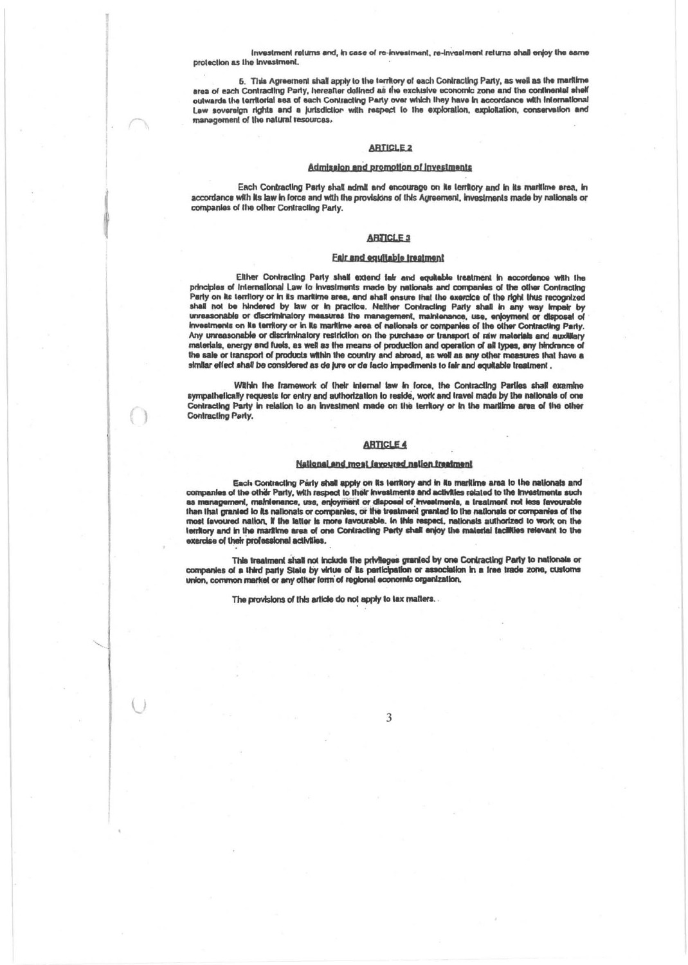Investment returns and, in case of re-investment, re-investment returns shall enjoy the same protection as the investment.

5. This Agreement shall apply to the territory of each Contracting Party, as well as the markime area of each Contracting Party, hereafter delined as the exclusive economic zone and the continental shelf outwards the territorial sea of each Contracting Party over which they have in accordance with International Law sovereign rights and a jurisdiction with respect to the exploration, exploitation, conservation and management of the natural resources.

#### **ARTICLE 2**

#### Admission and promotion of investments

Each Contracting Party shall admit and encourage on its territory and in its maritime area, in accordance with its law in force and with the provisions of this Agreement, investments made by nationals or companies of the other Contracting Party.

### **ARTICLE 3**

### Eair and equitable treatment

Either Contracting Party shall extend fair and equitable treatment in accordance with the principles of International Law to investments made by nationals and companies of the other Contracting Party on its territory or in its maritime area, and shall ensure that the exercice of the right thus recognized shall not be hindered by law or in practice. Neither Contracting Party shall in any way impetr by unreasonable or discriminatory measures the management, maintenance, use, enjoyment or disposal of<br>Investments on its territory or in its maritime area of nationals or companies of the other Contracting Party. Any unreasonable or discriminatory restriction on the purchase or transport of raw materials and auxilitary materials, energy and fuels, as well as the means of production and operation of all types, any hindrance of the sale or transport of products within the country and abroad, as well as any other measures that have a similar effect shall be considered as de jure or de facto impediments to fair and equitable treatment.

Within the framework of their internal law in force, the Contracting Parties shall examine sympathetically requests for entry and authorization to reside, work and travel made by the nationals of one Contracting Party in relation to an investment made on the territory or in the maritime area of the other Contracting Party.

#### **ARTICLE 4**

### National and most fayoured nation freatment

Each Contracting Party shall apply on its territory and in its maritime area to the nationals and companies of the other Party, with respect to their investments and activities related to the investments such as management, maintenance, use, enjoyment or disposal of investments, a treatment not less favourable than that granted to its nationals or companies, or the treatment granted to the nationals or companies of the most favoured nation, if the latter is more favourable. In this respect, nationals authorized to work on the territory and in the maritime area of one Contracting Party shall enjoy the material facilities relevant to the exercise of their professional activities.

This treatment shall not include the privileges granted by one Contracting Party to nationals or<br>companies of a third party State by virtue of its participation or association in a free trade zone, customs union, common market or any other form of regional economic organization.

The provisions of this article do not apply to tax matters.

3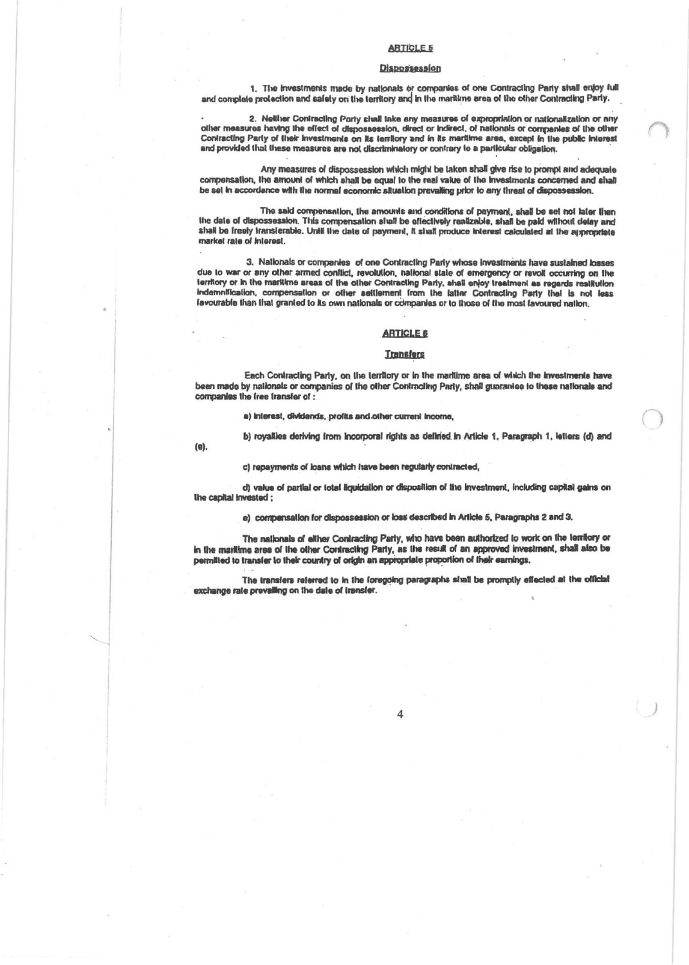#### **ARTICLE 5**

#### **Dispossession**

1. The investments made by nationals or companies of one Contracting Party shall enjoy full and complete protection and safety on the territory and in the maritime area of the other Contracting Party.

2. Nelther Contracting Party shall take any measures of expropriation or nationalization or any other measures having the effect of dispossession, direct or indirect, of nationals or companies of the other Contracting Party of their investments on its territory and in its maritime area, except in the public interest and provided that these measures are not discriminatory or contrary to a particular obligation.

Any measures of dispossession which might be taken shall give rise to prompt and adequate compensation, the amount of which shall be equal to the real value of the investments concerned and shall be set in accordance with the normal economic alluation prevailing prior to any threat of dispossession.

The said compensation, the amounts and conditions of payment, shall be set not later than the date of dispossession. This compensation shall be effectively realizable, shall be paid without delay and shall be freely transferable. Until the date of payment, it shall produce interest calculated at the appropriate market rate of Interest.

3. Nationals or companies of one Contracting Party whose investments have sustained losses due to war or any other armed conflict, revolution, national state of emergency or revolt occurring on the territory or in the markime areas of the other Contracting Party, shall enjoy treatment as regards restitution Indemnification, compensation or other settlement from the latter Contracting Party that is not less favourable than that granted to its own nationals or companies or to those of the most favoured nation.

### **ARTICLE 6**

### **Transfers**

Each Contracting Party, on the territory or in the maritime area of which the investments have been made by nationals or companies of the other Contracting Party, shall guarantee to these nationals and companies the free transfer of :

a) interest, dividends, profits and other current income,

b) royalties deriving from incorporal rights as defined in Article 1, Paragraph 1, letters (d) and

(e).

c) repayments of loans which have been regularly contracted,

d) value of partial or total liquidation or disposition of the investment, including capital gains on live capital invested;

e) compensation for dispossession or loss described in Article 5, Paragraphs 2 and 3.

The nationals of either Contracting Party, who have been authorized to work on the territory or in the maritime area of the other Contracting Party, as the result of an approved investment, shall also be permitted to transfer to their country of origin an appropriate proportion of their earnings,

The transfers referred to in the foregoing paragraphs shall be promptly effected at the official exchange rate prevailing on the date of transfer.

 $\Lambda$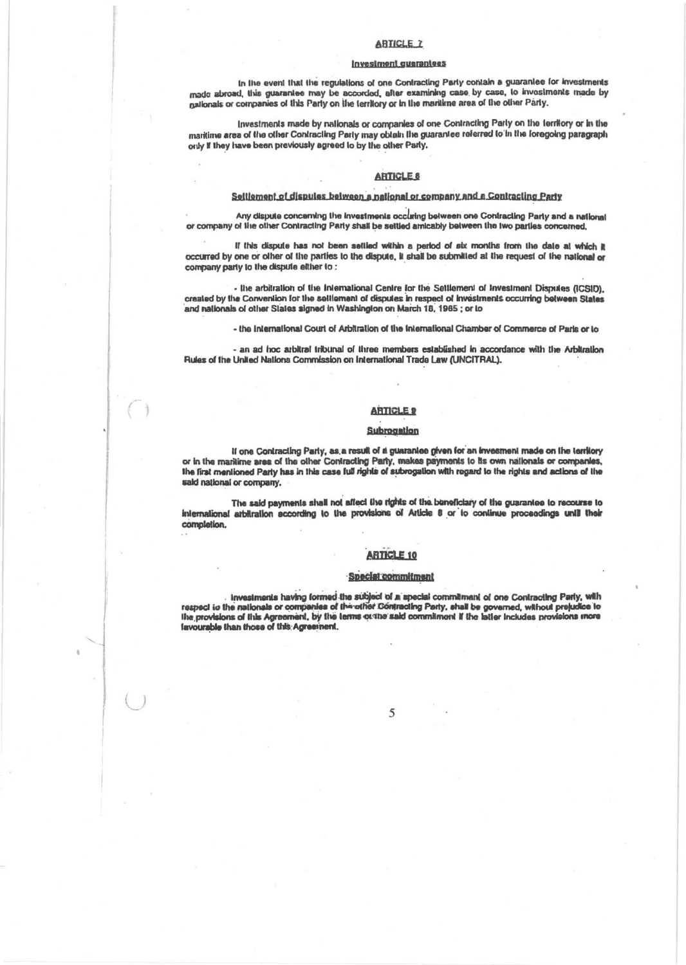#### **ARTICLE 7**

## **Investment quarantees**

In the event that the regulations of one Contracting Party contain a guarantee for investments made abroad, this guarantee may be accorded, after examining case by case, to invostments made by galionals or companies of this Party on the territory or in the maritime area of the other Party.

Investments made by nationals or companies of one Contracting Party on the territory or in the maritime area of the other Contracting Party may obtain the guarantee referred to in the foregoing paragraph only if they have been previously agreed to by the other Party.

#### **ARTICLE 8**

#### Seitlement of dispules between a national or company and a Contracting Party

Any dispute concerning the investments occuring between one Contracting Party and a national or company of the other Contracting Party shall be settled amicably between the two parties concerned.

If this dispute has not been settled within a period of six months from the date at which it occurred by one or other of the parties to the dispute, it shall be submitted at the request of the national or company party to the dispute either to:

- the arbitration of the International Centre for the Settlement of Investment Disputes (ICSID). created by the Convention for the settlement of disputes in respect of investments occurring between States and nationals of other States signed in Washington on March 18, 1965; or to

- the International Court of Arbitration of the International Chamber of Commerce of Paris or to

- an ad hoc arbitral tribunal of three members established in accordance with the Arbitration Rules of the United Nations Commission on International Trade Law (UNCITRAL).

# **ARTICLE 9**

## Subrogation

If one Contracting Party, as a result of a guarantee given for an investment made on the territory or in the maritime area of the other Contracting Party, makes payments to its own nationals or companies, the first mentioned Party has in this case full rights of subrogation with regard to the rights and actions of the sald national or company.

The said payments shall not affect the rights of the beneficiary of the guarantee to recourse to international arbitrallon according to the provisions of Article 8 or to continue proceedings until their completion.

# **ARTICLE 10**

### Special commitment

Investments having formed the subject of a special commitment of one Contracting Party, with<br>respect to the nationals or companies of the other Contracting Party, shall be governed, without prejudice to<br>the provisions of t lavourable than those of this Agreement.